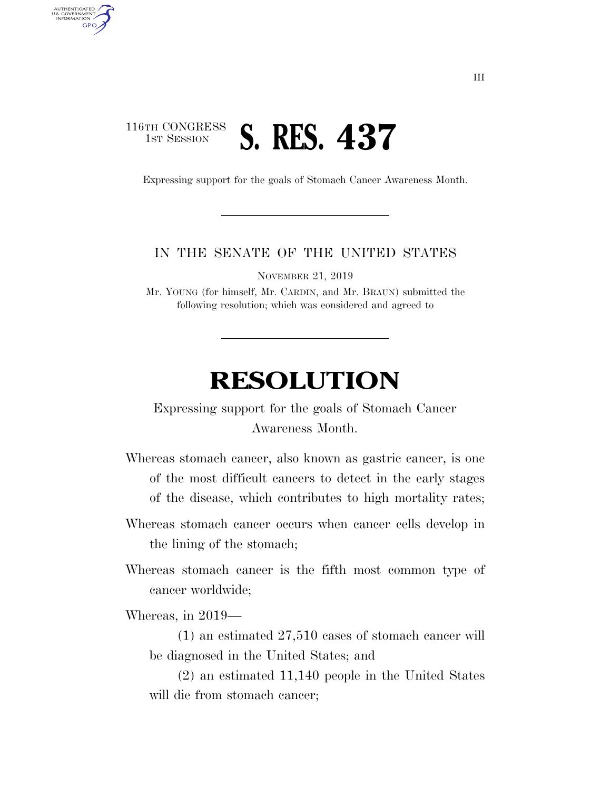## 116TH CONGRESS **1ST SESSION S. RES. 437**

U.S. GOVERNMENT GPO

Expressing support for the goals of Stomach Cancer Awareness Month.

## IN THE SENATE OF THE UNITED STATES

NOVEMBER 21, 2019

Mr. YOUNG (for himself, Mr. CARDIN, and Mr. BRAUN) submitted the following resolution; which was considered and agreed to

## **RESOLUTION**

Expressing support for the goals of Stomach Cancer Awareness Month.

Whereas stomach cancer, also known as gastric cancer, is one of the most difficult cancers to detect in the early stages of the disease, which contributes to high mortality rates;

- Whereas stomach cancer occurs when cancer cells develop in the lining of the stomach;
- Whereas stomach cancer is the fifth most common type of cancer worldwide;

Whereas, in 2019—

(1) an estimated 27,510 cases of stomach cancer will be diagnosed in the United States; and

(2) an estimated 11,140 people in the United States will die from stomach cancer;